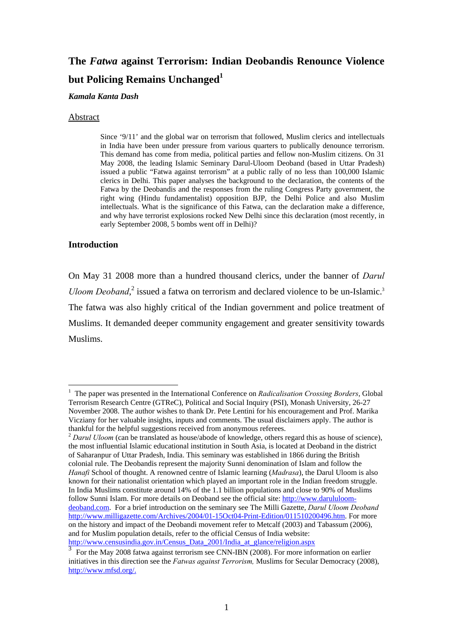# **The** *Fatwa* **against Terrorism: Indian Deobandis Renounce Violence but Policing Remains Unchanged<sup>1</sup>**

#### *Kamala Kanta Dash*

#### Abstract

Since '9/11' and the global war on terrorism that followed, Muslim clerics and intellectuals in India have been under pressure from various quarters to publically denounce terrorism. This demand has come from media, political parties and fellow non-Muslim citizens. On 31 May 2008, the leading Islamic Seminary Darul-Uloom Deoband (based in Uttar Pradesh) issued a public "Fatwa against terrorism" at a public rally of no less than 100,000 Islamic clerics in Delhi. This paper analyses the background to the declaration, the contents of the Fatwa by the Deobandis and the responses from the ruling Congress Party government, the right wing (Hindu fundamentalist) opposition BJP, the Delhi Police and also Muslim intellectuals. What is the significance of this Fatwa, can the declaration make a difference, and why have terrorist explosions rocked New Delhi since this declaration (most recently, in early September 2008, 5 bombs went off in Delhi)?

# **Introduction**

1

On May 31 2008 more than a hundred thousand clerics, under the banner of *Darul Uloom Deoband*,<sup>2</sup> issued a fatwa on terrorism and declared violence to be un-Islamic.<sup>3</sup> The fatwa was also highly critical of the Indian government and police treatment of Muslims. It demanded deeper community engagement and greater sensitivity towards Muslims.

<sup>&</sup>lt;sup>1</sup> The paper was presented in the International Conference on *Radicalisation Crossing Borders*, Global Terrorism Research Centre (GTReC), Political and Social Inquiry (PSI), Monash University, 26-27 November 2008. The author wishes to thank Dr. Pete Lentini for his encouragement and Prof. Marika Vicziany for her valuable insights, inputs and comments. The usual disclaimers apply. The author is thankful for the helpful suggestions received from anonymous referees. 2 *Darul Uloom* (can be translated as house/abode of knowledge, others regard this as house of science),

the most influential Islamic educational institution in South Asia, is located at Deoband in the district of Saharanpur of Uttar Pradesh, India. This seminary was established in 1866 during the British colonial rule. The Deobandis represent the majority Sunni denomination of Islam and follow the *Hanafi* School of thought. A renowned centre of Islamic learning (*Madrasa*), the Darul Uloom is also known for their nationalist orientation which played an important role in the Indian freedom struggle. In India Muslims constitute around 14% of the 1.1 billion populations and close to 90% of Muslims follow Sunni Islam. For more details on Deoband see the official site: http://www.darululoomdeoband.com. For a brief introduction on the seminary see The Milli Gazette, *Darul Uloom Deoband* http://www.milligazette.com/Archives/2004/01-15Oct04-Print-Edition/011510200496.htm. For more on the history and impact of the Deobandi movement refer to Metcalf (2003) and Tabassum (2006), and for Muslim population details, refer to the official Census of India website: http://www.censusindia.gov.in/Census\_Data\_2001/India\_at\_glance/religion.aspx  $\frac{3}{2}$ 

For the May 2008 fatwa against terrorism see CNN-IBN (2008). For more information on earlier initiatives in this direction see the *Fatwas against Terrorism,* Muslims for Secular Democracy (2008), http://www.mfsd.org/.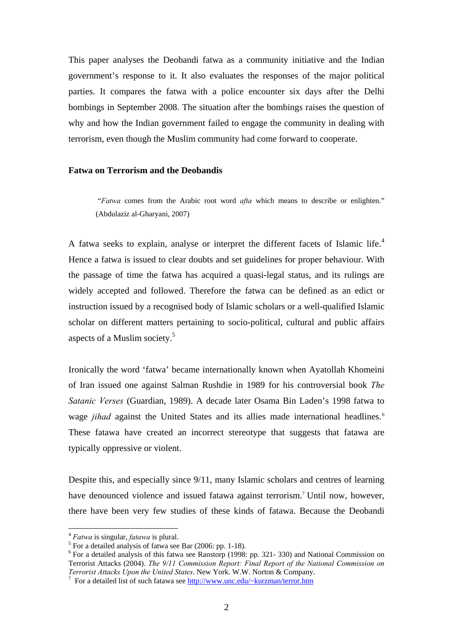This paper analyses the Deobandi fatwa as a community initiative and the Indian government's response to it. It also evaluates the responses of the major political parties. It compares the fatwa with a police encounter six days after the Delhi bombings in September 2008. The situation after the bombings raises the question of why and how the Indian government failed to engage the community in dealing with terrorism, even though the Muslim community had come forward to cooperate.

# **Fatwa on Terrorism and the Deobandis**

 "*Fatwa* comes from the Arabic root word *afta* which means to describe or enlighten." (Abdulaziz al-Gharyani, 2007)

A fatwa seeks to explain, analyse or interpret the different facets of Islamic life.<sup>4</sup> Hence a fatwa is issued to clear doubts and set guidelines for proper behaviour. With the passage of time the fatwa has acquired a quasi-legal status, and its rulings are widely accepted and followed. Therefore the fatwa can be defined as an edict or instruction issued by a recognised body of Islamic scholars or a well-qualified Islamic scholar on different matters pertaining to socio-political, cultural and public affairs aspects of a Muslim society.5

Ironically the word 'fatwa' became internationally known when Ayatollah Khomeini of Iran issued one against Salman Rushdie in 1989 for his controversial book *The Satanic Verses* (Guardian, 1989). A decade later Osama Bin Laden's 1998 fatwa to wage *jihad* against the United States and its allies made international headlines.<sup>6</sup> These fatawa have created an incorrect stereotype that suggests that fatawa are typically oppressive or violent.

Despite this, and especially since 9/11, many Islamic scholars and centres of learning have denounced violence and issued fatawa against terrorism.<sup>7</sup> Until now, however, there have been very few studies of these kinds of fatawa. Because the Deobandi

<sup>4</sup> *Fatwa* is singular, *fatawa* is plural. 5

For a detailed analysis of fatwa see Bar  $(2006: pp. 1-18)$ .

<sup>&</sup>lt;sup>6</sup> For a detailed analysis of this fatwa see Ranstorp (1998: pp. 321-330) and National Commission on Terrorist Attacks (2004). *The 9/11 Commission Report: Final Report of the National Commission on Terrorist Attacks Upon the United States*. New York. W.W. Norton & Company. 7

For a detailed list of such fatawa see http://www.unc.edu/~kurzman/terror.htm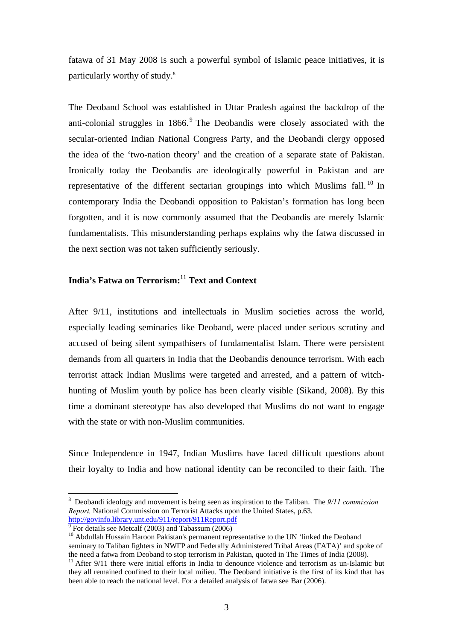fatawa of 31 May 2008 is such a powerful symbol of Islamic peace initiatives, it is particularly worthy of study.8

The Deoband School was established in Uttar Pradesh against the backdrop of the anti-colonial struggles in 1866.<sup>9</sup> The Deobandis were closely associated with the secular-oriented Indian National Congress Party, and the Deobandi clergy opposed the idea of the 'two-nation theory' and the creation of a separate state of Pakistan. Ironically today the Deobandis are ideologically powerful in Pakistan and are representative of the different sectarian groupings into which Muslims fall.<sup>10</sup> In contemporary India the Deobandi opposition to Pakistan's formation has long been forgotten, and it is now commonly assumed that the Deobandis are merely Islamic fundamentalists. This misunderstanding perhaps explains why the fatwa discussed in the next section was not taken sufficiently seriously.

# **India's Fatwa on Terrorism:**<sup>11</sup> **Text and Context**

After 9/11, institutions and intellectuals in Muslim societies across the world, especially leading seminaries like Deoband, were placed under serious scrutiny and accused of being silent sympathisers of fundamentalist Islam. There were persistent demands from all quarters in India that the Deobandis denounce terrorism. With each terrorist attack Indian Muslims were targeted and arrested, and a pattern of witchhunting of Muslim youth by police has been clearly visible (Sikand, 2008). By this time a dominant stereotype has also developed that Muslims do not want to engage with the state or with non-Muslim communities.

Since Independence in 1947, Indian Muslims have faced difficult questions about their loyalty to India and how national identity can be reconciled to their faith. The

<sup>8</sup> Deobandi ideology and movement is being seen as inspiration to the Taliban. The *9/11 commission Report,* National Commission on Terrorist Attacks upon the United States, p.63. http://govinfo.library.unt.edu/911/report/911Report.pdf

 $\frac{1}{9}$  For details see Metcalf (2003) and Tabassum (2006)

 $10$  Abdullah Hussain Haroon Pakistan's permanent representative to the UN 'linked the Deoband seminary to Taliban fighters in NWFP and Federally Administered Tribal Areas (FATA)' and spoke of the need a fatwa from Deoband to stop terrorism in Pakistan, quoted in The Times of India (2008).

<sup>&</sup>lt;sup>11</sup> After 9/11 there were initial efforts in India to denounce violence and terrorism as un-Islamic but they all remained confined to their local milieu. The Deoband initiative is the first of its kind that has been able to reach the national level. For a detailed analysis of fatwa see Bar (2006).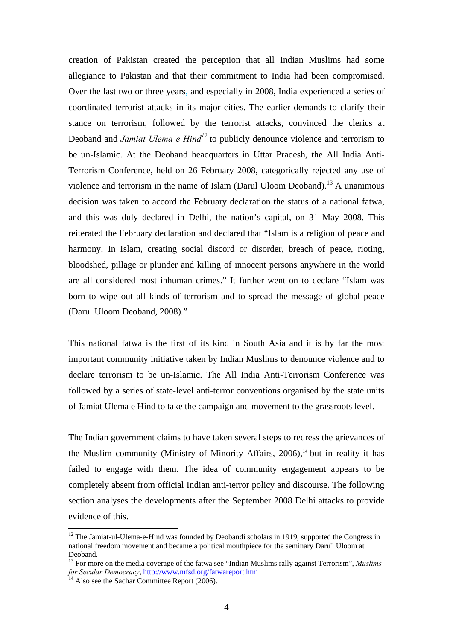creation of Pakistan created the perception that all Indian Muslims had some allegiance to Pakistan and that their commitment to India had been compromised. Over the last two or three years, and especially in 2008, India experienced a series of coordinated terrorist attacks in its major cities. The earlier demands to clarify their stance on terrorism, followed by the terrorist attacks, convinced the clerics at Deoband and *Jamiat Ulema e Hind*<sup>12</sup> to publicly denounce violence and terrorism to be un-Islamic. At the Deoband headquarters in Uttar Pradesh, the All India Anti-Terrorism Conference, held on 26 February 2008, categorically rejected any use of violence and terrorism in the name of Islam (Darul Uloom Deoband).<sup>13</sup> A unanimous decision was taken to accord the February declaration the status of a national fatwa, and this was duly declared in Delhi, the nation's capital, on 31 May 2008. This reiterated the February declaration and declared that "Islam is a religion of peace and harmony. In Islam, creating social discord or disorder, breach of peace, rioting, bloodshed, pillage or plunder and killing of innocent persons anywhere in the world are all considered most inhuman crimes." It further went on to declare "Islam was born to wipe out all kinds of terrorism and to spread the message of global peace (Darul Uloom Deoband, 2008)."

This national fatwa is the first of its kind in South Asia and it is by far the most important community initiative taken by Indian Muslims to denounce violence and to declare terrorism to be un-Islamic. The All India Anti-Terrorism Conference was followed by a series of state-level anti-terror conventions organised by the state units of Jamiat Ulema e Hind to take the campaign and movement to the grassroots level.

The Indian government claims to have taken several steps to redress the grievances of the Muslim community (Ministry of Minority Affairs,  $2006$ ),<sup>14</sup> but in reality it has failed to engage with them. The idea of community engagement appears to be completely absent from official Indian anti-terror policy and discourse. The following section analyses the developments after the September 2008 Delhi attacks to provide evidence of this.

<sup>&</sup>lt;sup>12</sup> The Jamiat-ul-Ulema-e-Hind was founded by Deobandi scholars in 1919, supported the Congress in national freedom movement and became a political mouthpiece for the seminary Daru'l Uloom at Deoband.

<sup>13</sup> For more on the media coverage of the fatwa see "Indian Muslims rally against Terrorism", *Muslims for Secular Democracy*, http://www.mfsd.org/fatwareport.htm <sup>14</sup> Also see the Sachar Committee Report (2006).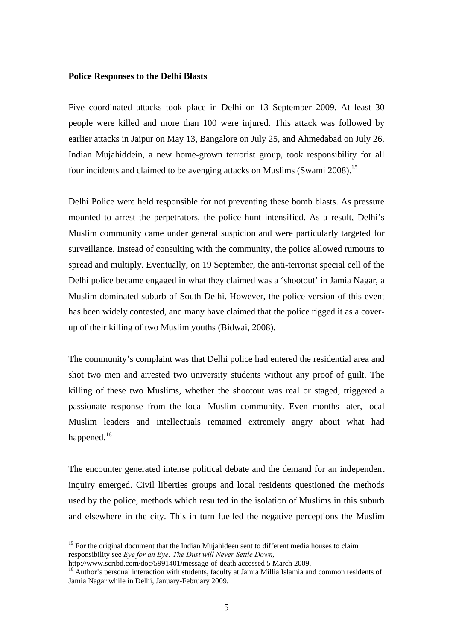#### **Police Responses to the Delhi Blasts**

Five coordinated attacks took place in Delhi on 13 September 2009. At least 30 people were killed and more than 100 were injured. This attack was followed by earlier attacks in Jaipur on May 13, Bangalore on July 25, and Ahmedabad on July 26. Indian Mujahiddein, a new home-grown terrorist group, took responsibility for all four incidents and claimed to be avenging attacks on Muslims (Swami 2008).<sup>15</sup>

Delhi Police were held responsible for not preventing these bomb blasts. As pressure mounted to arrest the perpetrators, the police hunt intensified. As a result, Delhi's Muslim community came under general suspicion and were particularly targeted for surveillance. Instead of consulting with the community, the police allowed rumours to spread and multiply. Eventually, on 19 September, the anti-terrorist special cell of the Delhi police became engaged in what they claimed was a 'shootout' in Jamia Nagar, a Muslim-dominated suburb of South Delhi. However, the police version of this event has been widely contested, and many have claimed that the police rigged it as a coverup of their killing of two Muslim youths (Bidwai, 2008).

The community's complaint was that Delhi police had entered the residential area and shot two men and arrested two university students without any proof of guilt. The killing of these two Muslims, whether the shootout was real or staged, triggered a passionate response from the local Muslim community. Even months later, local Muslim leaders and intellectuals remained extremely angry about what had happened.<sup>16</sup>

The encounter generated intense political debate and the demand for an independent inquiry emerged. Civil liberties groups and local residents questioned the methods used by the police, methods which resulted in the isolation of Muslims in this suburb and elsewhere in the city. This in turn fuelled the negative perceptions the Muslim

<sup>&</sup>lt;sup>15</sup> For the original document that the Indian Mujahideen sent to different media houses to claim responsibility see *Eye for an Eye: The Dust will Never Settle Down,*

 $\delta$  Author's personal interaction with students, faculty at Jamia Millia Islamia and common residents of Jamia Nagar while in Delhi, January-February 2009.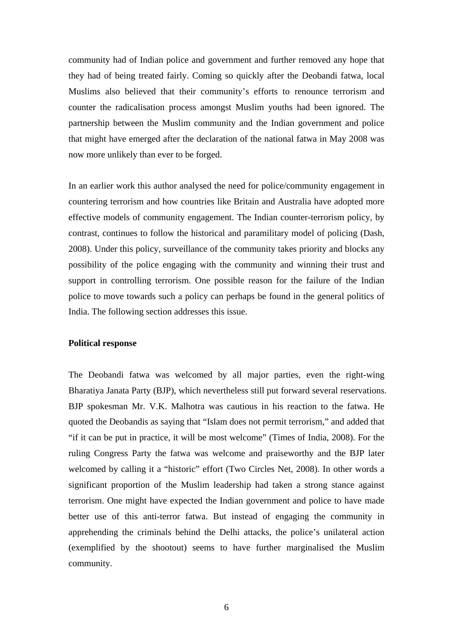community had of Indian police and government and further removed any hope that they had of being treated fairly. Coming so quickly after the Deobandi fatwa, local Muslims also believed that their community's efforts to renounce terrorism and counter the radicalisation process amongst Muslim youths had been ignored. The partnership between the Muslim community and the Indian government and police that might have emerged after the declaration of the national fatwa in May 2008 was now more unlikely than ever to be forged.

In an earlier work this author analysed the need for police/community engagement in countering terrorism and how countries like Britain and Australia have adopted more effective models of community engagement. The Indian counter-terrorism policy, by contrast, continues to follow the historical and paramilitary model of policing (Dash, 2008). Under this policy, surveillance of the community takes priority and blocks any possibility of the police engaging with the community and winning their trust and support in controlling terrorism. One possible reason for the failure of the Indian police to move towards such a policy can perhaps be found in the general politics of India. The following section addresses this issue.

#### **Political response**

The Deobandi fatwa was welcomed by all major parties, even the right-wing Bharatiya Janata Party (BJP), which nevertheless still put forward several reservations. BJP spokesman Mr. V.K. Malhotra was cautious in his reaction to the fatwa. He quoted the Deobandis as saying that "Islam does not permit terrorism," and added that "if it can be put in practice, it will be most welcome" (Times of India, 2008). For the ruling Congress Party the fatwa was welcome and praiseworthy and the BJP later welcomed by calling it a "historic" effort (Two Circles Net, 2008). In other words a significant proportion of the Muslim leadership had taken a strong stance against terrorism. One might have expected the Indian government and police to have made better use of this anti-terror fatwa. But instead of engaging the community in apprehending the criminals behind the Delhi attacks, the police's unilateral action (exemplified by the shootout) seems to have further marginalised the Muslim community.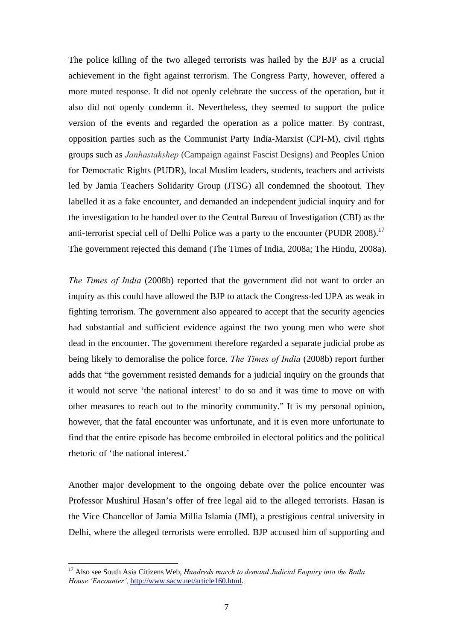The police killing of the two alleged terrorists was hailed by the BJP as a crucial achievement in the fight against terrorism. The Congress Party, however, offered a more muted response. It did not openly celebrate the success of the operation, but it also did not openly condemn it. Nevertheless, they seemed to support the police version of the events and regarded the operation as a police matter. By contrast, opposition parties such as the Communist Party India-Marxist (CPI-M), civil rights groups such as *Janhastakshep* (Campaign against Fascist Designs) and Peoples Union for Democratic Rights (PUDR), local Muslim leaders, students, teachers and activists led by Jamia Teachers Solidarity Group (JTSG) all condemned the shootout. They labelled it as a fake encounter, and demanded an independent judicial inquiry and for the investigation to be handed over to the Central Bureau of Investigation (CBI) as the anti-terrorist special cell of Delhi Police was a party to the encounter (PUDR 2008).<sup>17</sup> The government rejected this demand (The Times of India, 2008a; The Hindu, 2008a).

*The Times of India* (2008b) reported that the government did not want to order an inquiry as this could have allowed the BJP to attack the Congress-led UPA as weak in fighting terrorism. The government also appeared to accept that the security agencies had substantial and sufficient evidence against the two young men who were shot dead in the encounter. The government therefore regarded a separate judicial probe as being likely to demoralise the police force. *The Times of India* (2008b) report further adds that "the government resisted demands for a judicial inquiry on the grounds that it would not serve 'the national interest' to do so and it was time to move on with other measures to reach out to the minority community." It is my personal opinion, however, that the fatal encounter was unfortunate, and it is even more unfortunate to find that the entire episode has become embroiled in electoral politics and the political rhetoric of 'the national interest.'

Another major development to the ongoing debate over the police encounter was Professor Mushirul Hasan's offer of free legal aid to the alleged terrorists. Hasan is the Vice Chancellor of Jamia Millia Islamia (JMI), a prestigious central university in Delhi, where the alleged terrorists were enrolled. BJP accused him of supporting and

<sup>17</sup> Also see South Asia Citizens Web, *Hundreds march to demand Judicial Enquiry into the Batla House 'Encounter',* http://www.sacw.net/article160.html.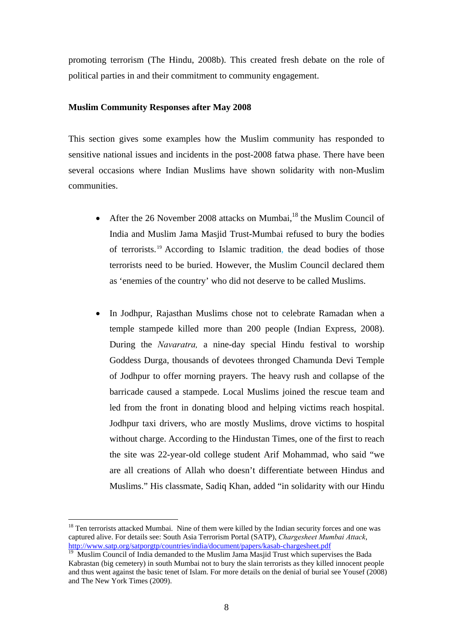promoting terrorism (The Hindu, 2008b). This created fresh debate on the role of political parties in and their commitment to community engagement.

# **Muslim Community Responses after May 2008**

This section gives some examples how the Muslim community has responded to sensitive national issues and incidents in the post-2008 fatwa phase. There have been several occasions where Indian Muslims have shown solidarity with non-Muslim communities.

- After the 26 November 2008 attacks on Mumbai, $^{18}$  the Muslim Council of India and Muslim Jama Masjid Trust-Mumbai refused to bury the bodies of terrorists. 19 According to Islamic tradition, the dead bodies of those terrorists need to be buried. However, the Muslim Council declared them as 'enemies of the country' who did not deserve to be called Muslims.
- In Jodhpur, Rajasthan Muslims chose not to celebrate Ramadan when a temple stampede killed more than 200 people (Indian Express, 2008). During the *Navaratra,* a nine-day special Hindu festival to worship Goddess Durga, thousands of devotees thronged Chamunda Devi Temple of Jodhpur to offer morning prayers. The heavy rush and collapse of the barricade caused a stampede. Local Muslims joined the rescue team and led from the front in donating blood and helping victims reach hospital. Jodhpur taxi drivers, who are mostly Muslims, drove victims to hospital without charge. According to the Hindustan Times, one of the first to reach the site was 22-year-old college student Arif Mohammad, who said "we are all creations of Allah who doesn't differentiate between Hindus and Muslims." His classmate, Sadiq Khan, added "in solidarity with our Hindu

<sup>&</sup>lt;sup>18</sup> Ten terrorists attacked Mumbai. Nine of them were killed by the Indian security forces and one was captured alive. For details see: South Asia Terrorism Portal (SATP), *Chargesheet Mumbai Attack*,

<sup>&</sup>lt;sup>19</sup> Muslim Council of India demanded to the Muslim Jama Masjid Trust which supervises the Bada Kabrastan (big cemetery) in south Mumbai not to bury the slain terrorists as they killed innocent people and thus went against the basic tenet of Islam. For more details on the denial of burial see Yousef (2008) and The New York Times (2009).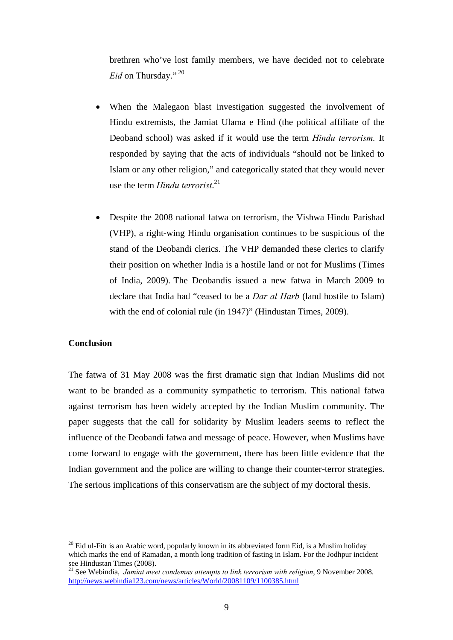brethren who've lost family members, we have decided not to celebrate *Eid* on Thursday."<sup>20</sup>

- When the Malegaon blast investigation suggested the involvement of Hindu extremists, the Jamiat Ulama e Hind (the political affiliate of the Deoband school) was asked if it would use the term *Hindu terrorism.* It responded by saying that the acts of individuals "should not be linked to Islam or any other religion," and categorically stated that they would never use the term *Hindu terrorist*. 21
- Despite the 2008 national fatwa on terrorism, the Vishwa Hindu Parishad (VHP), a right-wing Hindu organisation continues to be suspicious of the stand of the Deobandi clerics. The VHP demanded these clerics to clarify their position on whether India is a hostile land or not for Muslims (Times of India, 2009). The Deobandis issued a new fatwa in March 2009 to declare that India had "ceased to be a *Dar al Harb* (land hostile to Islam) with the end of colonial rule (in 1947)" (Hindustan Times, 2009).

# **Conclusion**

1

The fatwa of 31 May 2008 was the first dramatic sign that Indian Muslims did not want to be branded as a community sympathetic to terrorism. This national fatwa against terrorism has been widely accepted by the Indian Muslim community. The paper suggests that the call for solidarity by Muslim leaders seems to reflect the influence of the Deobandi fatwa and message of peace. However, when Muslims have come forward to engage with the government, there has been little evidence that the Indian government and the police are willing to change their counter-terror strategies. The serious implications of this conservatism are the subject of my doctoral thesis.

 $^{20}$  Eid ul-Fitr is an Arabic word, popularly known in its abbreviated form Eid, is a Muslim holiday which marks the end of Ramadan, a month long tradition of fasting in Islam. For the Jodhpur incident see Hindustan Times (2008).

<sup>&</sup>lt;sup>21</sup> See Webindia, *Jamiat meet condemns attempts to link terrorism with religion*, 9 November 2008. http://news.webindia123.com/news/articles/World/20081109/1100385.html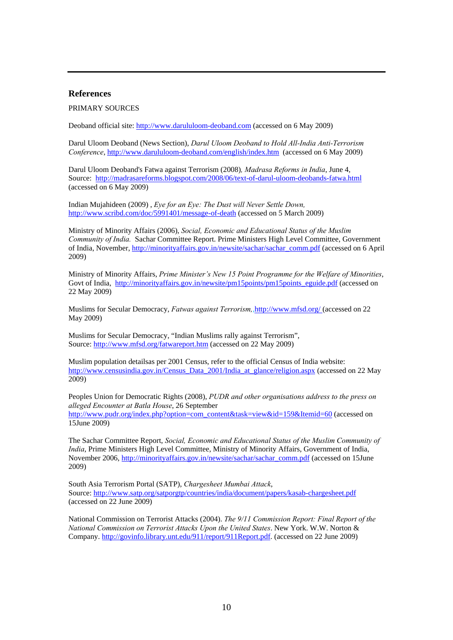#### **References**

#### PRIMARY SOURCES

Deoband official site: http://www.darululoom-deoband.com (accessed on 6 May 2009)

Darul Uloom Deoband (News Section), *Darul Uloom Deoband to Hold All-India Anti-Terrorism Conference*, http://www.darululoom-deoband.com/english/index.htm (accessed on 6 May 2009)

Darul Uloom Deoband's Fatwa against Terrorism (2008)*, Madrasa Reforms in India*, June 4, Source: http://madrasareforms.blogspot.com/2008/06/text-of-darul-uloom-deobands-fatwa.html (accessed on 6 May 2009)

Indian Mujahideen (2009) , *Eye for an Eye: The Dust will Never Settle Down,* http://www.scribd.com/doc/5991401/message-of-death (accessed on 5 March 2009)

Ministry of Minority Affairs (2006), *Social, Economic and Educational Status of the Muslim Community of India.* Sachar Committee Report. Prime Ministers High Level Committee, Government of India, November, http://minorityaffairs.gov.in/newsite/sachar/sachar\_comm.pdf (accessed on 6 April 2009)

Ministry of Minority Affairs, *Prime Minister's New 15 Point Programme for the Welfare of Minorities*, Govt of India, http://minorityaffairs.gov.in/newsite/pm15points/pm15points\_eguide.pdf (accessed on 22 May 2009)

Muslims for Secular Democracy, *Fatwas against Terrorism,*,http://www.mfsd.org/ (accessed on 22 May 2009)

Muslims for Secular Democracy, "Indian Muslims rally against Terrorism", Source: http://www.mfsd.org/fatwareport.htm (accessed on 22 May 2009)

Muslim population detailsas per 2001 Census, refer to the official Census of India website: http://www.censusindia.gov.in/Census\_Data\_2001/India\_at\_glance/religion.aspx (accessed on 22 May 2009)

Peoples Union for Democratic Rights (2008), *PUDR and other organisations address to the press on alleged Encounter at Batla House*, 26 September http://www.pudr.org/index.php?option=com\_content&task=view&id=159&Itemid=60 (accessed on 15June 2009)

The Sachar Committee Report, *Social, Economic and Educational Status of the Muslim Community of India*, Prime Ministers High Level Committee, Ministry of Minority Affairs, Government of India, November 2006, http://minorityaffairs.gov.in/newsite/sachar/sachar\_comm.pdf (accessed on 15June 2009)

South Asia Terrorism Portal (SATP), *Chargesheet Mumbai Attack*, Source: http://www.satp.org/satporgtp/countries/india/document/papers/kasab-chargesheet.pdf (accessed on 22 June 2009)

National Commission on Terrorist Attacks (2004). *The 9/11 Commission Report: Final Report of the National Commission on Terrorist Attacks Upon the United States*. New York. W.W. Norton & Company. http://govinfo.library.unt.edu/911/report/911Report.pdf. (accessed on 22 June 2009)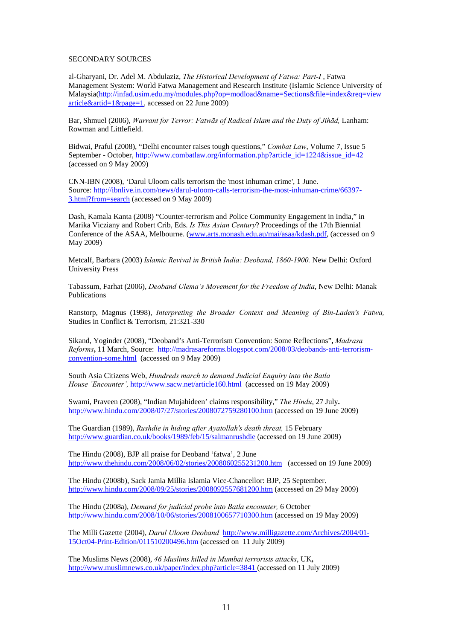#### SECONDARY SOURCES

al-Gharyani, Dr. Adel M. Abdulaziz, *The Historical Development of Fatwa: Part-I* , Fatwa Management System: World Fatwa Management and Research Institute (Islamic Science University of Malaysia(http://infad.usim.edu.my/modules.php?op=modload&name=Sections&file=index&req=view  $article & \text{article} = 1 & \text{page} = 1$ , accessed on 22 June 2009)

Bar, Shmuel (2006), *Warrant for Terror: Fatwās of Radical Islam and the Duty of Jihād,* Lanham: Rowman and Littlefield.

Bidwai, Praful (2008), "Delhi encounter raises tough questions," *Combat Law*, Volume 7, Issue 5 September - October, http://www.combatlaw.org/information.php?article\_id=1224&issue\_id=42 (accessed on 9 May 2009)

CNN-IBN (2008), 'Darul Uloom calls terrorism the 'most inhuman crime', 1 June. Source: http://ibnlive.in.com/news/darul-uloom-calls-terrorism-the-most-inhuman-crime/66397- 3.html?from=search (accessed on 9 May 2009)

Dash, Kamala Kanta (2008) "Counter-terrorism and Police Community Engagement in India," in Marika Vicziany and Robert Crib, Eds. *Is This Asian Century*? Proceedings of the 17th Biennial Conference of the ASAA, Melbourne. (www.arts.monash.edu.au/mai/asaa/kdash.pdf, (accessed on 9 May 2009)

Metcalf, Barbara (2003) *Islamic Revival in British India: Deoband, 1860-1900.* New Delhi: Oxford University Press

Tabassum, Farhat (2006), *Deoband Ulema's Movement for the Freedom of India*, New Delhi: Manak Publications

Ranstorp, Magnus (1998), *Interpreting the Broader Context and Meaning of Bin-Laden's Fatwa,*  Studies in Conflict & Terrorism*,* 21:321-330

Sikand, Yoginder (2008), "Deoband's Anti-Terrorism Convention: Some Reflections"**,** *Madrasa Reforms***,** 11 March, Source: http://madrasareforms.blogspot.com/2008/03/deobands-anti-terrorismconvention-some.html (accessed on 9 May 2009)

South Asia Citizens Web, *Hundreds march to demand Judicial Enquiry into the Batla House 'Encounter',* http://www.sacw.net/article160.html (accessed on 19 May 2009)

Swami, Praveen (2008), "Indian Mujahideen' claims responsibility," *The Hindu*, 27 July**.**  http://www.hindu.com/2008/07/27/stories/2008072759280100.htm (accessed on 19 June 2009)

The Guardian (1989), *Rushdie in hiding after Ayatollah's death threat,* 15 February http://www.guardian.co.uk/books/1989/feb/15/salmanrushdie (accessed on 19 June 2009)

The Hindu (2008), BJP all praise for Deoband 'fatwa', 2 June http://www.thehindu.com/2008/06/02/stories/2008060255231200.htm (accessed on 19 June 2009)

The Hindu (2008b), Sack Jamia Millia Islamia Vice-Chancellor: BJP, 25 September. http://www.hindu.com/2008/09/25/stories/2008092557681200.htm (accessed on 29 May 2009)

The Hindu (2008a), *Demand for judicial probe into Batla encounter,* 6 October http://www.hindu.com/2008/10/06/stories/2008100657710300.htm (accessed on 19 May 2009)

The Milli Gazette (2004), *Darul Uloom Deoband* http://www.milligazette.com/Archives/2004/01- 15Oct04-Print-Edition/011510200496.htm (accessed on 11 July 2009)

The Muslims News (2008), *46 Muslims killed in Mumbai terrorists attacks*, UK**,**  http://www.muslimnews.co.uk/paper/index.php?article=3841 (accessed on 11 July 2009)